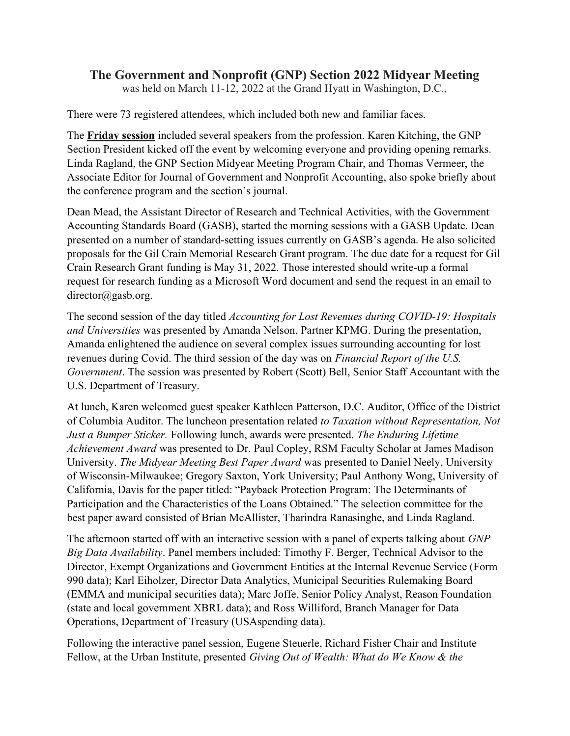## The Government and Nonprofit (GNP) Section 2022 Midyear Meeting

was held on March 11-12, 2022 at the Grand Hyatt in Washington, D.C.,

There were 73 registered attendees, which included both new and familiar faces.

The Friday session included several speakers from the profession. Karen Kitching, the GNP Section President kicked off the event by welcoming everyone and providing opening remarks. Linda Ragland, the GNP Section Midyear Meeting Program Chair, and Thomas Vermeer, the Associate Editor for Journal of Government and Nonprofit Accounting, also spoke briefly about the conference program and the section's journal.

Dean Mead, the Assistant Director of Research and Technical Activities, with the Government Accounting Standards Board (GASB), started the morning sessions with a GASB Update. Dean presented on a number of standard-setting issues currently on GASB's agenda. He also solicited proposals for the Gil Crain Memorial Research Grant program. The due date for a request for Gil Crain Research Grant funding is May 31, 2022. Those interested should write-up a formal request for research funding as a Microsoft Word document and send the request in an email to director@gasb.org.

The second session of the day titled Accounting for Lost Revenues during COVID-19: Hospitals and Universities was presented by Amanda Nelson, Partner KPMG. During the presentation, Amanda enlightened the audience on several complex issues surrounding accounting for lost revenues during Covid. The third session of the day was on Financial Report of the U.S. Government. The session was presented by Robert (Scott) Bell, Senior Staff Accountant with the U.S. Department of Treasury.

At lunch, Karen welcomed guest speaker Kathleen Patterson, D.C. Auditor, Office of the District of Columbia Auditor. The luncheon presentation related to Taxation without Representation, Not Just a Bumper Sticker. Following lunch, awards were presented. The Enduring Lifetime Achievement Award was presented to Dr. Paul Copley, RSM Faculty Scholar at James Madison University. The Midyear Meeting Best Paper Award was presented to Daniel Neely, University of Wisconsin-Milwaukee; Gregory Saxton, York University; Paul Anthony Wong, University of California, Davis for the paper titled: "Payback Protection Program: The Determinants of Participation and the Characteristics of the Loans Obtained." The selection committee for the best paper award consisted of Brian McAllister, Tharindra Ranasinghe, and Linda Ragland.

The afternoon started off with an interactive session with a panel of experts talking about GNP Big Data Availability. Panel members included: Timothy F. Berger, Technical Advisor to the Director, Exempt Organizations and Government Entities at the Internal Revenue Service (Form 990 data); Karl Eiholzer, Director Data Analytics, Municipal Securities Rulemaking Board (EMMA and municipal securities data); Marc Joffe, Senior Policy Analyst, Reason Foundation (state and local government XBRL data); and Ross Williford, Branch Manager for Data Operations, Department of Treasury (USAspending data).

Following the interactive panel session, Eugene Steuerle, Richard Fisher Chair and Institute Fellow, at the Urban Institute, presented *Giving Out of Wealth: What do We Know & the*